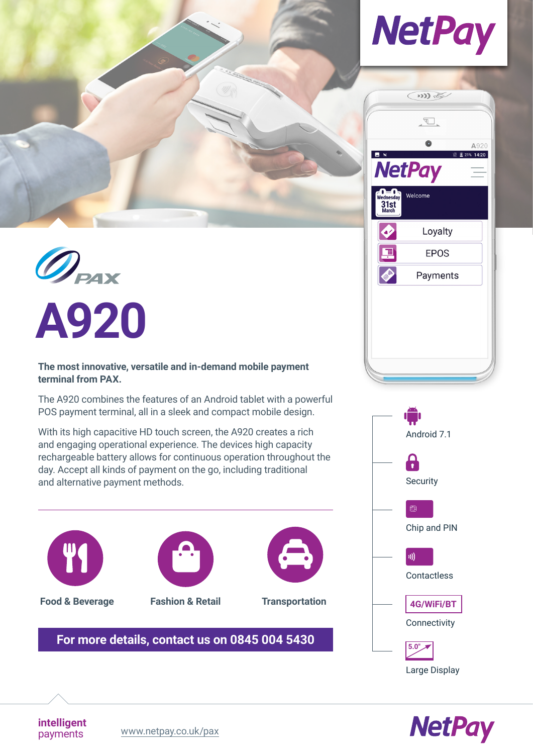







**The most innovative, versatile and in-demand mobile payment terminal from PAX.**

The A920 combines the features of an Android tablet with a powerful POS payment terminal, all in a sleek and compact mobile design.

With its high capacitive HD touch screen, the A920 creates a rich and engaging operational experience. The devices high capacity rechargeable battery allows for continuous operation throughout the day. Accept all kinds of payment on the go, including traditional and alternative payment methods.



**Food & Beverage Fashion & Retail Transportation**

**intelligent**



# **[For more details, contact us on 0845 004 5430](tel:+448450045430)**





payments [www.netpay.co.uk/pax](https://www.netpay.co.uk/pax)